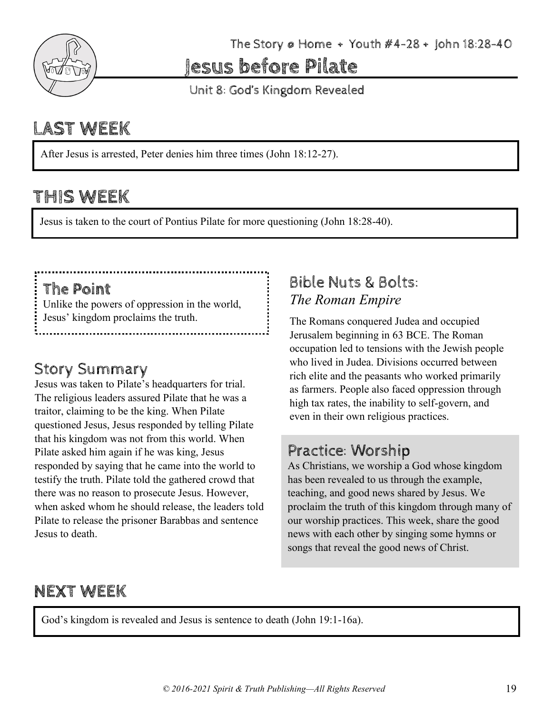

The Story  $\varphi$  Home + Youth  $\#4-28$  + John 18:28-40

Jesus before Pilate

Unit 8: God's Kingdom Revealed

# LAST WEEK

After Jesus is arrested, Peter denies him three times (John 18:12-27).

## THIS WEEK

Jesus is taken to the court of Pontius Pilate for more questioning (John 18:28-40).

## The Point

Unlike the powers of oppression in the world, Jesus' kingdom proclaims the truth.

## **Story Summary**

Jesus was taken to Pilate's headquarters for trial. The religious leaders assured Pilate that he was a traitor, claiming to be the king. When Pilate questioned Jesus, Jesus responded by telling Pilate that his kingdom was not from this world. When Pilate asked him again if he was king, Jesus responded by saying that he came into the world to testify the truth. Pilate told the gathered crowd that there was no reason to prosecute Jesus. However, when asked whom he should release, the leaders told Pilate to release the prisoner Barabbas and sentence Jesus to death.

## Bible Nuts & Bolts: *The Roman Empire*

The Romans conquered Judea and occupied Jerusalem beginning in 63 BCE. The Roman occupation led to tensions with the Jewish people who lived in Judea. Divisions occurred between rich elite and the peasants who worked primarily as farmers. People also faced oppression through high tax rates, the inability to self-govern, and even in their own religious practices.

## Practice: Worship

As Christians, we worship a God whose kingdom has been revealed to us through the example, teaching, and good news shared by Jesus. We proclaim the truth of this kingdom through many of our worship practices. This week, share the good news with each other by singing some hymns or songs that reveal the good news of Christ.

## NEXT WEEK

God's kingdom is revealed and Jesus is sentence to death (John 19:1-16a).